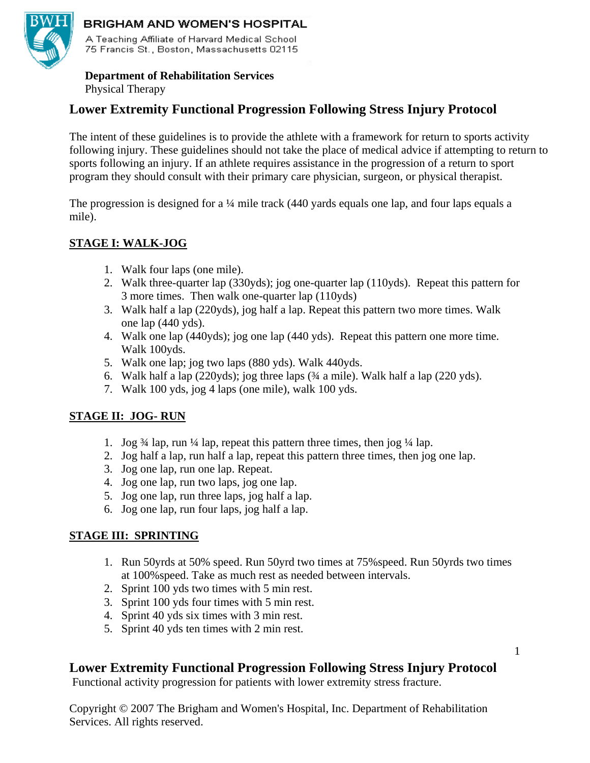

#### BRIGHAM AND WOMEN'S HOSPITAL

A Teaching Affiliate of Harvard Medical School 75 Francis St., Boston, Massachusetts 02115

# **Department of Rehabilitation Services**

Physical Therapy

# **Lower Extremity Functional Progression Following Stress Injury Protocol**

The intent of these guidelines is to provide the athlete with a framework for return to sports activity following injury. These guidelines should not take the place of medical advice if attempting to return to sports following an injury. If an athlete requires assistance in the progression of a return to sport program they should consult with their primary care physician, surgeon, or physical therapist.

The progression is designed for a ¼ mile track (440 yards equals one lap, and four laps equals a mile).

### **STAGE I: WALK-JOG**

- 1. Walk four laps (one mile).
- 2. Walk three-quarter lap (330yds); jog one-quarter lap (110yds). Repeat this pattern for 3 more times. Then walk one-quarter lap (110yds)
- 3. Walk half a lap (220yds), jog half a lap. Repeat this pattern two more times. Walk one lap (440 yds).
- 4. Walk one lap (440yds); jog one lap (440 yds). Repeat this pattern one more time. Walk 100yds.
- 5. Walk one lap; jog two laps (880 yds). Walk 440yds.
- 6. Walk half a lap (220yds); jog three laps (¾ a mile). Walk half a lap (220 yds).
- 7. Walk 100 yds, jog 4 laps (one mile), walk 100 yds.

#### **STAGE II: JOG- RUN**

- 1. Jog  $\frac{3}{4}$  lap, run  $\frac{1}{4}$  lap, repeat this pattern three times, then jog  $\frac{1}{4}$  lap.
- 2. Jog half a lap, run half a lap, repeat this pattern three times, then jog one lap.
- 3. Jog one lap, run one lap. Repeat.
- 4. Jog one lap, run two laps, jog one lap.
- 5. Jog one lap, run three laps, jog half a lap.
- 6. Jog one lap, run four laps, jog half a lap.

#### **STAGE III: SPRINTING**

- 1. Run 50yrds at 50% speed. Run 50yrd two times at 75%speed. Run 50yrds two times at 100%speed. Take as much rest as needed between intervals.
- 2. Sprint 100 yds two times with 5 min rest.
- 3. Sprint 100 yds four times with 5 min rest.
- 4. Sprint 40 yds six times with 3 min rest.
- 5. Sprint 40 yds ten times with 2 min rest.

## **Lower Extremity Functional Progression Following Stress Injury Protocol**

Functional activity progression for patients with lower extremity stress fracture.

Copyright © 2007 The Brigham and Women's Hospital, Inc. Department of Rehabilitation Services. All rights reserved.